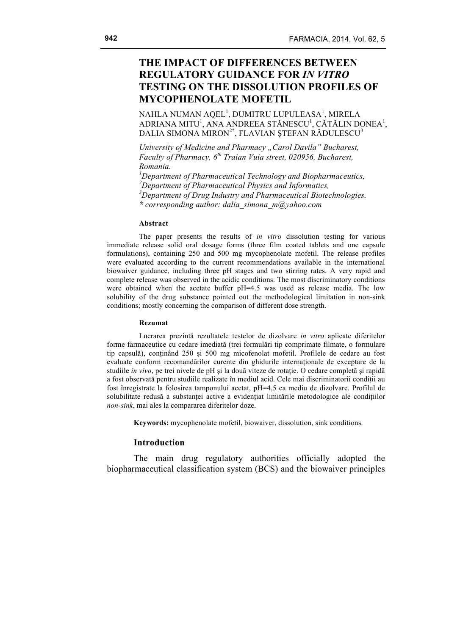# **THE IMPACT OF DIFFERENCES BETWEEN REGULATORY GUIDANCE FOR** *IN VITRO* **TESTING ON THE DISSOLUTION PROFILES OF MYCOPHENOLATE MOFETIL**

NAHLA NUMAN AQEL $^{\rm l}$ , DUMITRU LUPULEASA $^{\rm l}$ , MIRELA ADRIANA MITU $^{\rm l}$ , ANA ANDREEA STĂNESCU $^{\rm l}$ , CĂTĂLIN DONEA $^{\rm l}$ , DALIA SIMONA MIRON<sup>2\*</sup>, FLAVIAN STEFAN RĂDULESCU<sup>3</sup>

*University of Medicine and Pharmacy "Carol Davila" Bucharest, Faculty of Pharmacy, 6th Traian Vuia street, 020956, Bucharest, Romania.*

 *Department of Pharmaceutical Technology and Biopharmaceutics, Department of Pharmaceutical Physics and Informatics, Department of Drug Industry and Pharmaceutical Biotechnologies. \* corresponding author: dalia\_simona\_m@yahoo.com*

#### **Abstract**

The paper presents the results of *in vitro* dissolution testing for various immediate release solid oral dosage forms (three film coated tablets and one capsule formulations), containing 250 and 500 mg mycophenolate mofetil. The release profiles were evaluated according to the current recommendations available in the international biowaiver guidance, including three pH stages and two stirring rates. A very rapid and complete release was observed in the acidic conditions. The most discriminatory conditions were obtained when the acetate buffer pH=4.5 was used as release media. The low solubility of the drug substance pointed out the methodological limitation in non-sink conditions; mostly concerning the comparison of different dose strength.

#### **Rezumat**

Lucrarea prezintă rezultatele testelor de dizolvare *in vitro* aplicate diferitelor forme farmaceutice cu cedare imediată (trei formulări tip comprimate filmate, o formulare tip capsulă), conținând 250 și 500 mg micofenolat mofetil. Profilele de cedare au fost evaluate conform recomandărilor curente din ghidurile internaționale de exceptare de la studiile *in vivo*, pe trei nivele de pH și la două viteze de rotație. O cedare completă și rapidă a fost observată pentru studiile realizate în mediul acid. Cele mai discriminatorii condiții au fost înregistrate la folosirea tamponului acetat, pH=4,5 ca mediu de dizolvare. Profilul de solubilitate redusă a substanței active a evidențiat limitările metodologice ale condițiilor *non-sink*, mai ales la compararea diferitelor doze.

**Keywords:** mycophenolate mofetil, biowaiver, dissolution, sink conditions.

#### **Introduction**

The main drug regulatory authorities officially adopted the biopharmaceutical classification system (BCS) and the biowaiver principles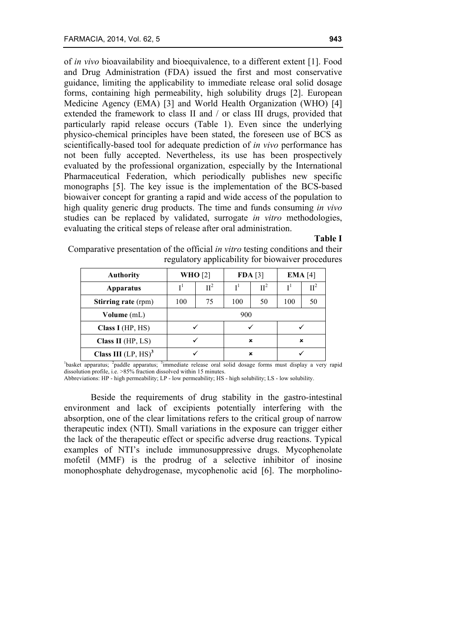of *in vivo* bioavailability and bioequivalence, to a different extent [1]. Food and Drug Administration (FDA) issued the first and most conservative guidance, limiting the applicability to immediate release oral solid dosage forms, containing high permeability, high solubility drugs [2]. European Medicine Agency (EMA) [3] and World Health Organization (WHO) [4] extended the framework to class II and / or class III drugs, provided that particularly rapid release occurs (Table 1). Even since the underlying physico-chemical principles have been stated, the foreseen use of BCS as scientifically-based tool for adequate prediction of *in vivo* performance has not been fully accepted. Nevertheless, its use has been prospectively evaluated by the professional organization, especially by the International Pharmaceutical Federation, which periodically publishes new specific monographs [5]. The key issue is the implementation of the BCS-based biowaiver concept for granting a rapid and wide access of the population to high quality generic drug products. The time and funds consuming *in vivo* studies can be replaced by validated, surrogate *in vitro* methodologies, evaluating the critical steps of release after oral administration.

#### **Table I**

| <b>Authority</b>           | <b>WHO</b> [2] |        | FDA [3]        |         | EMA [4]        |                 |
|----------------------------|----------------|--------|----------------|---------|----------------|-----------------|
| <b>Apparatus</b>           |                | $II^2$ | I <sup>1</sup> | $\Pi^2$ | I <sup>1</sup> | $\mathbf{II}^2$ |
| <b>Stirring rate (rpm)</b> | 100            | 75     | 100            | 50      | 100            | 50              |
| Volume (mL)                | 900            |        |                |         |                |                 |
| Class I $(HP, HS)$         |                |        |                |         |                |                 |
| Class II $(HP, LS)$        |                |        | ×              |         | ×              |                 |
| Class III $(LP, HS)^3$     |                |        | ×              |         |                |                 |

Comparative presentation of the official *in vitro* testing conditions and their regulatory applicability for biowaiver procedures

<sup>1</sup>basket apparatus; <sup>2</sup>paddle apparatus; <sup>3</sup>immediate release oral solid dosage forms must display a very rapid dissolution profile, i.e. >85% fraction dissolved within 15 minutes.

Abbreviations: HP - high permeability; LP - low permeability; HS - high solubility; LS - low solubility.

Beside the requirements of drug stability in the gastro-intestinal environment and lack of excipients potentially interfering with the absorption, one of the clear limitations refers to the critical group of narrow therapeutic index (NTI). Small variations in the exposure can trigger either the lack of the therapeutic effect or specific adverse drug reactions. Typical examples of NTI's include immunosuppressive drugs. Mycophenolate mofetil (MMF) is the prodrug of a selective inhibitor of inosine monophosphate dehydrogenase, mycophenolic acid [6]. The morpholino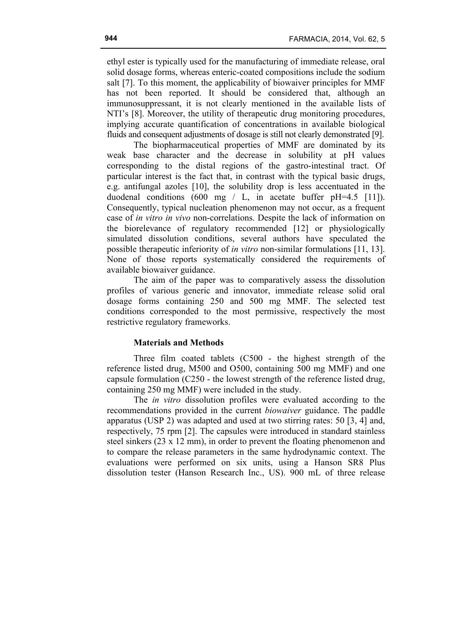ethyl ester is typically used for the manufacturing of immediate release, oral solid dosage forms, whereas enteric-coated compositions include the sodium salt [7]. To this moment, the applicability of biowaiver principles for MMF has not been reported. It should be considered that, although an immunosuppressant, it is not clearly mentioned in the available lists of NTI's [8]. Moreover, the utility of therapeutic drug monitoring procedures, implying accurate quantification of concentrations in available biological fluids and consequent adjustments of dosage is still not clearly demonstrated [9].

The biopharmaceutical properties of MMF are dominated by its weak base character and the decrease in solubility at pH values corresponding to the distal regions of the gastro-intestinal tract. Of particular interest is the fact that, in contrast with the typical basic drugs, e.g. antifungal azoles [10], the solubility drop is less accentuated in the duodenal conditions (600 mg / L, in acetate buffer pH=4.5 [11]). Consequently, typical nucleation phenomenon may not occur, as a frequent case of *in vitro in vivo* non-correlations. Despite the lack of information on the biorelevance of regulatory recommended [12] or physiologically simulated dissolution conditions, several authors have speculated the possible therapeutic inferiority of *in vitro* non-similar formulations [11, 13]. None of those reports systematically considered the requirements of available biowaiver guidance.

The aim of the paper was to comparatively assess the dissolution profiles of various generic and innovator, immediate release solid oral dosage forms containing 250 and 500 mg MMF. The selected test conditions corresponded to the most permissive, respectively the most restrictive regulatory frameworks.

# **Materials and Methods**

Three film coated tablets (C500 - the highest strength of the reference listed drug, M500 and O500, containing 500 mg MMF) and one capsule formulation (C250 - the lowest strength of the reference listed drug, containing 250 mg MMF) were included in the study.

The *in vitro* dissolution profiles were evaluated according to the recommendations provided in the current *biowaiver* guidance. The paddle apparatus (USP 2) was adapted and used at two stirring rates: 50 [3, 4] and, respectively, 75 rpm [2]. The capsules were introduced in standard stainless steel sinkers (23 x 12 mm), in order to prevent the floating phenomenon and to compare the release parameters in the same hydrodynamic context. The evaluations were performed on six units, using a Hanson SR8 Plus dissolution tester (Hanson Research Inc., US). 900 mL of three release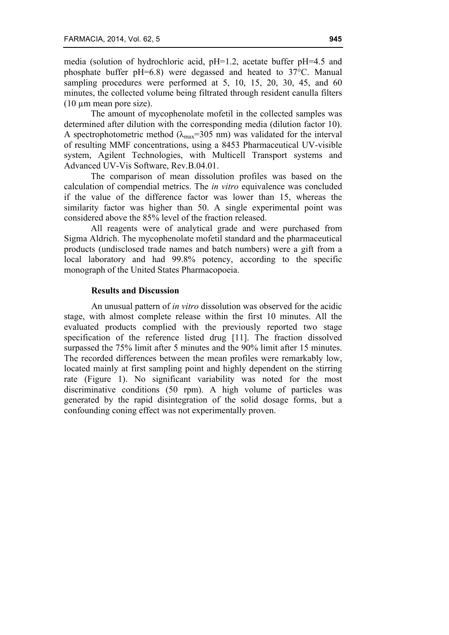media (solution of hydrochloric acid, pH=1.2, acetate buffer pH=4.5 and phosphate buffer pH=6.8) were degassed and heated to 37°C. Manual sampling procedures were performed at 5, 10, 15, 20, 30, 45, and 60 minutes, the collected volume being filtrated through resident canulla filters (10 µm mean pore size).

The amount of mycophenolate mofetil in the collected samples was determined after dilution with the corresponding media (dilution factor 10). A spectrophotometric method ( $\lambda_{\text{max}}$ =305 nm) was validated for the interval of resulting MMF concentrations, using a 8453 Pharmaceutical UV-visible system, Agilent Technologies, with Multicell Transport systems and Advanced UV-Vis Software, Rev.B.04.01.

The comparison of mean dissolution profiles was based on the calculation of compendial metrics. The *in vitro* equivalence was concluded if the value of the difference factor was lower than 15, whereas the similarity factor was higher than 50. A single experimental point was considered above the 85% level of the fraction released.

All reagents were of analytical grade and were purchased from Sigma Aldrich. The mycophenolate mofetil standard and the pharmaceutical products (undisclosed trade names and batch numbers) were a gift from a local laboratory and had 99.8% potency, according to the specific monograph of the United States Pharmacopoeia.

# **Results and Discussion**

An unusual pattern of *in vitro* dissolution was observed for the acidic stage, with almost complete release within the first 10 minutes. All the evaluated products complied with the previously reported two stage specification of the reference listed drug [11]. The fraction dissolved surpassed the 75% limit after 5 minutes and the 90% limit after 15 minutes. The recorded differences between the mean profiles were remarkably low, located mainly at first sampling point and highly dependent on the stirring rate (Figure 1). No significant variability was noted for the most discriminative conditions (50 rpm). A high volume of particles was generated by the rapid disintegration of the solid dosage forms, but a confounding coning effect was not experimentally proven.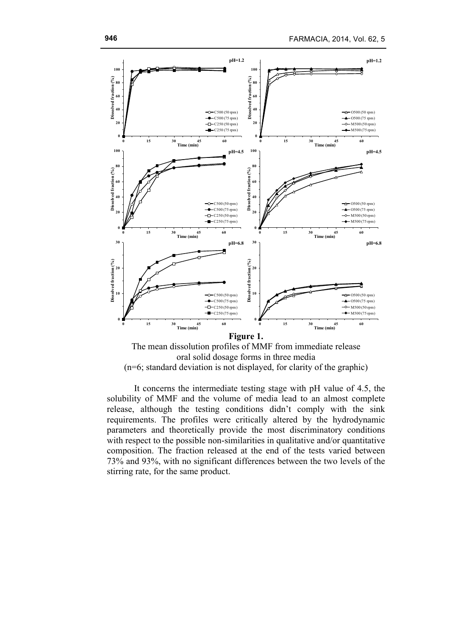

oral solid dosage forms in three media (n=6; standard deviation is not displayed, for clarity of the graphic)

It concerns the intermediate testing stage with pH value of 4.5, the solubility of MMF and the volume of media lead to an almost complete release, although the testing conditions didn't comply with the sink requirements. The profiles were critically altered by the hydrodynamic parameters and theoretically provide the most discriminatory conditions with respect to the possible non-similarities in qualitative and/or quantitative composition. The fraction released at the end of the tests varied between 73% and 93%, with no significant differences between the two levels of the stirring rate, for the same product.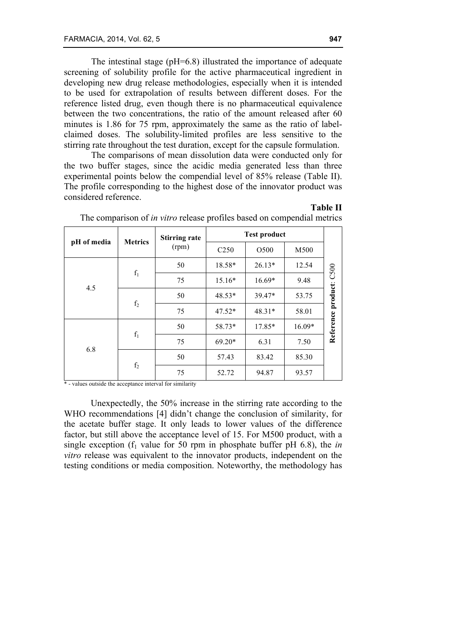The intestinal stage (pH=6.8) illustrated the importance of adequate screening of solubility profile for the active pharmaceutical ingredient in developing new drug release methodologies, especially when it is intended to be used for extrapolation of results between different doses. For the reference listed drug, even though there is no pharmaceutical equivalence between the two concentrations, the ratio of the amount released after 60 minutes is 1.86 for 75 rpm, approximately the same as the ratio of labelclaimed doses. The solubility-limited profiles are less sensitive to the stirring rate throughout the test duration, except for the capsule formulation.

The comparisons of mean dissolution data were conducted only for the two buffer stages, since the acidic media generated less than three experimental points below the compendial level of 85% release (Table II). The profile corresponding to the highest dose of the innovator product was considered reference.

**Table II**

| pH of media | <b>Metrics</b> | <b>Stirring rate</b> | <b>Test product</b> |                  |          |           |  |
|-------------|----------------|----------------------|---------------------|------------------|----------|-----------|--|
|             |                | (rpm)                | C <sub>250</sub>    | O <sub>500</sub> | M500     |           |  |
| 4.5         | $f_1$          | 50                   | 18.58*              | $26.13*$         | 12.54    | C500      |  |
|             |                | 75                   | $15.16*$            | $16.69*$         | 9.48     |           |  |
|             | f <sub>2</sub> | 50                   | $48.53*$            | 39.47*           | 53.75    | product:  |  |
|             |                | 75                   | $47.52*$            | $48.31*$         | 58.01    |           |  |
| 6.8         | $f_1$          | 50                   | 58.73*              | 17.85*           | $16.09*$ | Reference |  |
|             |                | 75                   | $69.20*$            | 6.31             | 7.50     |           |  |
|             | $\mathbf{f}_2$ | 50                   | 57.43               | 83.42            | 85.30    |           |  |
|             |                | 75                   | 52.72               | 94.87            | 93.57    |           |  |

The comparison of *in vitro* release profiles based on compendial metrics

\* - values outside the acceptance interval for similarity

Unexpectedly, the 50% increase in the stirring rate according to the WHO recommendations [4] didn't change the conclusion of similarity, for the acetate buffer stage. It only leads to lower values of the difference factor, but still above the acceptance level of 15. For M500 product, with a single exception ( $f_1$  value for 50 rpm in phosphate buffer pH 6.8), the *in vitro* release was equivalent to the innovator products, independent on the testing conditions or media composition. Noteworthy, the methodology has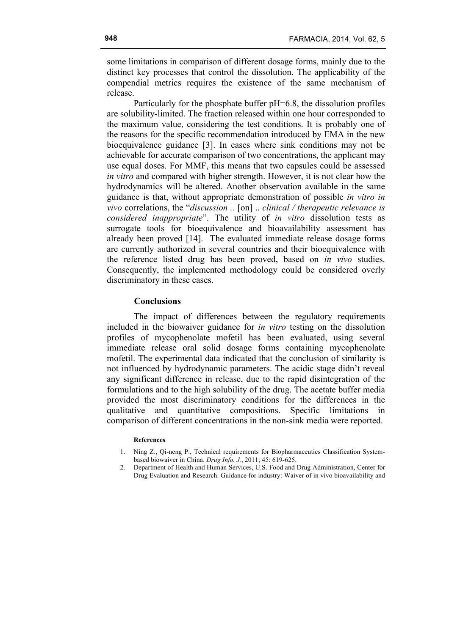some limitations in comparison of different dosage forms, mainly due to the distinct key processes that control the dissolution. The applicability of the compendial metrics requires the existence of the same mechanism of release.

Particularly for the phosphate buffer pH=6.8, the dissolution profiles are solubility-limited. The fraction released within one hour corresponded to the maximum value, considering the test conditions. It is probably one of the reasons for the specific recommendation introduced by EMA in the new bioequivalence guidance [3]. In cases where sink conditions may not be achievable for accurate comparison of two concentrations, the applicant may use equal doses. For MMF, this means that two capsules could be assessed *in vitro* and compared with higher strength. However, it is not clear how the hydrodynamics will be altered. Another observation available in the same guidance is that, without appropriate demonstration of possible *in vitro in vivo* correlations, the "*discussion ..* [on] .. *clinical / therapeutic relevance is considered inappropriate*". The utility of *in vitro* dissolution tests as surrogate tools for bioequivalence and bioavailability assessment has already been proved [14]. The evaluated immediate release dosage forms are currently authorized in several countries and their bioequivalence with the reference listed drug has been proved, based on *in vivo* studies. Consequently, the implemented methodology could be considered overly discriminatory in these cases.

## **Conclusions**

The impact of differences between the regulatory requirements included in the biowaiver guidance for *in vitro* testing on the dissolution profiles of mycophenolate mofetil has been evaluated, using several immediate release oral solid dosage forms containing mycophenolate mofetil. The experimental data indicated that the conclusion of similarity is not influenced by hydrodynamic parameters. The acidic stage didn't reveal any significant difference in release, due to the rapid disintegration of the formulations and to the high solubility of the drug. The acetate buffer media provided the most discriminatory conditions for the differences in the qualitative and quantitative compositions. Specific limitations in comparison of different concentrations in the non-sink media were reported.

#### **References**

- 1. Ning Z., Qi-neng P., Technical requirements for Biopharmaceutics Classification Systembased biowaiver in China. *Drug Info. J.*, 2011; 45: 619-625.
- 2. Department of Health and Human Services, U.S. Food and Drug Administration, Center for Drug Evaluation and Research. Guidance for industry: Waiver of in vivo bioavailability and